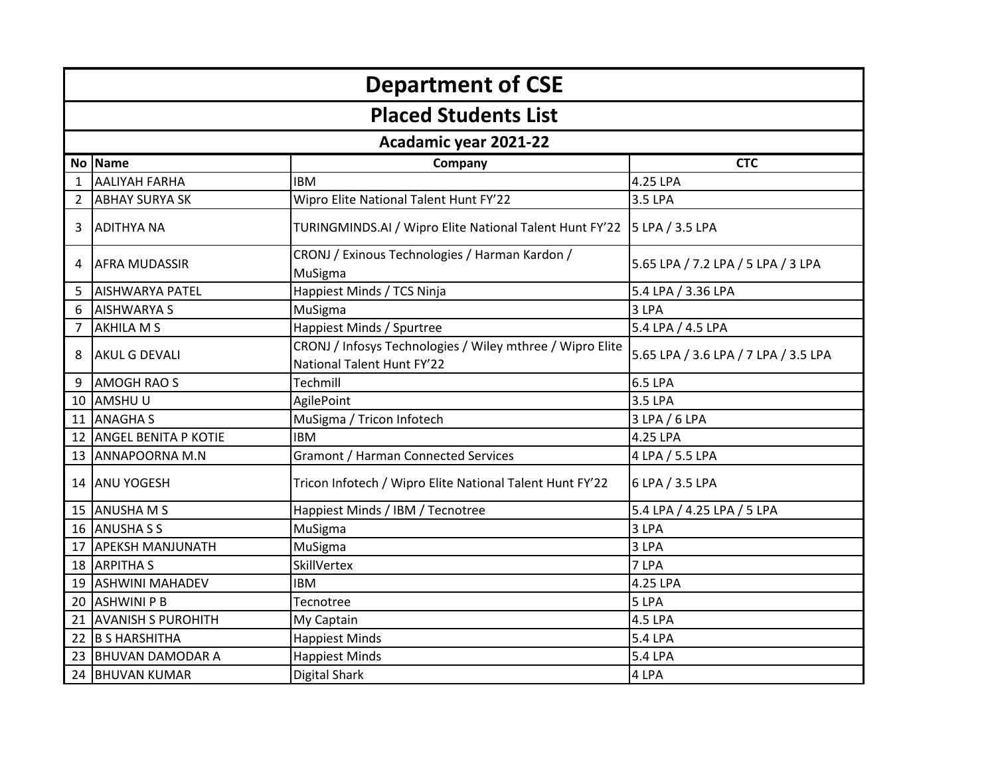| <b>Department of CSE</b> |                             |                                                                                         |                                      |  |
|--------------------------|-----------------------------|-----------------------------------------------------------------------------------------|--------------------------------------|--|
|                          | <b>Placed Students List</b> |                                                                                         |                                      |  |
|                          |                             | Acadamic year 2021-22                                                                   |                                      |  |
|                          | No Name                     | Company                                                                                 | <b>CTC</b>                           |  |
| 1                        | <b>AALIYAH FARHA</b>        | <b>IBM</b>                                                                              | 4.25 LPA                             |  |
| 2                        | <b>ABHAY SURYA SK</b>       | Wipro Elite National Talent Hunt FY'22                                                  | 3.5 LPA                              |  |
| 3                        | <b>ADITHYA NA</b>           | TURINGMINDS.AI / Wipro Elite National Talent Hunt FY'22                                 | 5 LPA / 3.5 LPA                      |  |
| 4                        | <b>AFRA MUDASSIR</b>        | CRONJ / Exinous Technologies / Harman Kardon /<br>MuSigma                               | 5.65 LPA / 7.2 LPA / 5 LPA / 3 LPA   |  |
| 5                        | <b>AISHWARYA PATEL</b>      | Happiest Minds / TCS Ninja                                                              | 5.4 LPA / 3.36 LPA                   |  |
| 6                        | <b>AISHWARYA S</b>          | MuSigma                                                                                 | 3 LPA                                |  |
| 7                        | <b>AKHILA M S</b>           | Happiest Minds / Spurtree                                                               | 5.4 LPA / 4.5 LPA                    |  |
| 8                        | <b>AKUL G DEVALI</b>        | CRONJ / Infosys Technologies / Wiley mthree / Wipro Elite<br>National Talent Hunt FY'22 | 5.65 LPA / 3.6 LPA / 7 LPA / 3.5 LPA |  |
| 9                        | <b>AMOGH RAO S</b>          | Techmill                                                                                | 6.5 LPA                              |  |
| 10                       | AMSHUU                      | AgilePoint                                                                              | 3.5 LPA                              |  |
| 11                       | <b>ANAGHAS</b>              | MuSigma / Tricon Infotech                                                               | 3 LPA / 6 LPA                        |  |
| 12                       | <b>ANGEL BENITA P KOTIE</b> | <b>IBM</b>                                                                              | 4.25 LPA                             |  |
|                          | 13 ANNAPOORNA M.N           | Gramont / Harman Connected Services                                                     | 4 LPA / 5.5 LPA                      |  |
|                          | 14 ANU YOGESH               | Tricon Infotech / Wipro Elite National Talent Hunt FY'22                                | 6 LPA / 3.5 LPA                      |  |
| 15                       | <b>ANUSHAMS</b>             | Happiest Minds / IBM / Tecnotree                                                        | 5.4 LPA / 4.25 LPA / 5 LPA           |  |
| 16                       | <b>ANUSHA S S</b>           | MuSigma                                                                                 | 3 LPA                                |  |
| 17                       | <b>APEKSH MANJUNATH</b>     | MuSigma                                                                                 | 3 LPA                                |  |
| 18                       | <b>ARPITHAS</b>             | SkillVertex                                                                             | 7 LPA                                |  |
|                          | 19 ASHWINI MAHADEV          | <b>IBM</b>                                                                              | 4.25 LPA                             |  |
| 20                       | <b>ASHWINI P B</b>          | Tecnotree                                                                               | 5 LPA                                |  |
| 21                       | <b>AVANISH S PUROHITH</b>   | My Captain                                                                              | 4.5 LPA                              |  |
| 22                       | <b>B S HARSHITHA</b>        | <b>Happiest Minds</b>                                                                   | 5.4 LPA                              |  |
| 23                       | <b>BHUVAN DAMODAR A</b>     | <b>Happiest Minds</b>                                                                   | 5.4 LPA                              |  |
|                          | 24 BHUVAN KUMAR             | <b>Digital Shark</b>                                                                    | 4 LPA                                |  |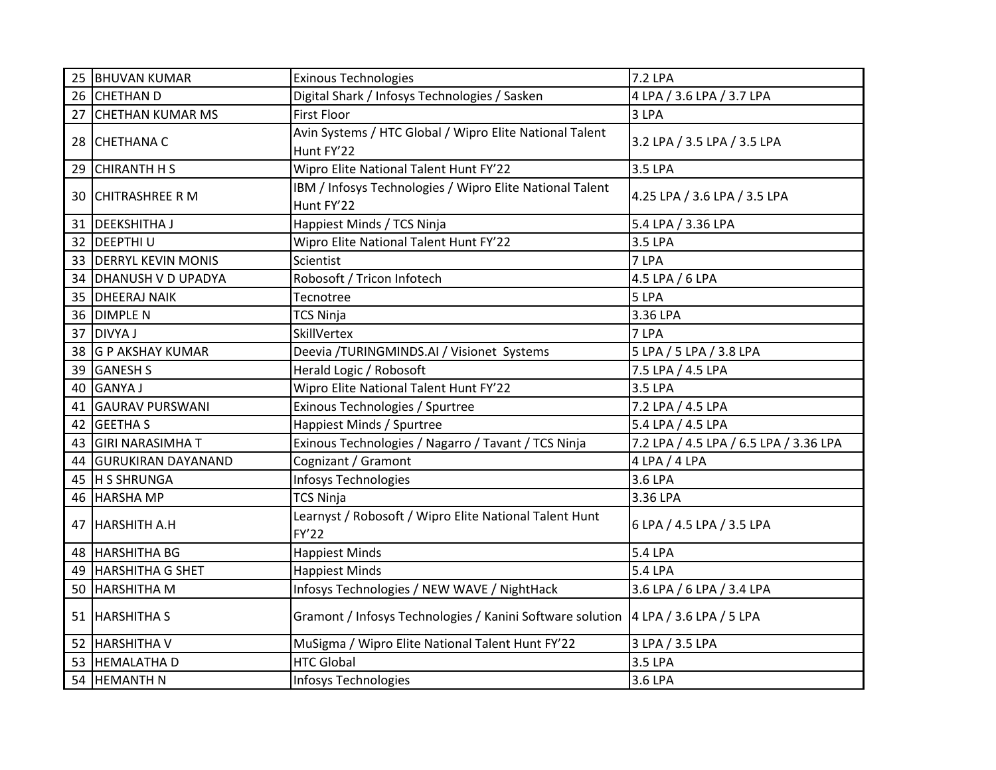| 25 | <b>BHUVAN KUMAR</b>       | <b>Exinous Technologies</b>                                                         | <b>7.2 LPA</b>                         |
|----|---------------------------|-------------------------------------------------------------------------------------|----------------------------------------|
| 26 | <b>CHETHAN D</b>          | Digital Shark / Infosys Technologies / Sasken                                       | 4 LPA / 3.6 LPA / 3.7 LPA              |
| 27 | <b>CHETHAN KUMAR MS</b>   | <b>First Floor</b>                                                                  | 3 LPA                                  |
|    | 28 CHETHANA C             | Avin Systems / HTC Global / Wipro Elite National Talent<br>Hunt FY'22               | 3.2 LPA / 3.5 LPA / 3.5 LPA            |
| 29 | <b>CHIRANTH H S</b>       | Wipro Elite National Talent Hunt FY'22                                              | 3.5 LPA                                |
| 30 | <b>CHITRASHREE R M</b>    | IBM / Infosys Technologies / Wipro Elite National Talent<br>Hunt FY'22              | 4.25 LPA / 3.6 LPA / 3.5 LPA           |
| 31 | <b>DEEKSHITHAJ</b>        | Happiest Minds / TCS Ninja                                                          | 5.4 LPA / 3.36 LPA                     |
| 32 | <b>DEEPTHIU</b>           | Wipro Elite National Talent Hunt FY'22                                              | 3.5 LPA                                |
| 33 | <b>DERRYL KEVIN MONIS</b> | Scientist                                                                           | 7 LPA                                  |
| 34 | <b>DHANUSH V D UPADYA</b> | Robosoft / Tricon Infotech                                                          | 4.5 LPA / 6 LPA                        |
| 35 | <b>DHEERAJ NAIK</b>       | Tecnotree                                                                           | 5 LPA                                  |
| 36 | <b>DIMPLE N</b>           | <b>TCS Ninja</b>                                                                    | 3.36 LPA                               |
| 37 | <b>DIVYA J</b>            | SkillVertex                                                                         | 7 LPA                                  |
| 38 | <b>G P AKSHAY KUMAR</b>   | Deevia /TURINGMINDS.AI / Visionet Systems                                           | 5 LPA / 5 LPA / 3.8 LPA                |
| 39 | <b>GANESH S</b>           | Herald Logic / Robosoft                                                             | 7.5 LPA / 4.5 LPA                      |
| 40 | <b>GANYAJ</b>             | Wipro Elite National Talent Hunt FY'22                                              | 3.5 LPA                                |
| 41 | <b>GAURAV PURSWANI</b>    | Exinous Technologies / Spurtree                                                     | 7.2 LPA / 4.5 LPA                      |
| 42 | <b>GEETHAS</b>            | Happiest Minds / Spurtree                                                           | 5.4 LPA / 4.5 LPA                      |
| 43 | <b>GIRI NARASIMHA T</b>   | Exinous Technologies / Nagarro / Tavant / TCS Ninja                                 | 7.2 LPA / 4.5 LPA / 6.5 LPA / 3.36 LPA |
| 44 | <b>GURUKIRAN DAYANAND</b> | Cognizant / Gramont                                                                 | 4 LPA / 4 LPA                          |
| 45 | <b>H S SHRUNGA</b>        | Infosys Technologies                                                                | 3.6 LPA                                |
|    | 46 HARSHA MP              | <b>TCS Ninja</b>                                                                    | 3.36 LPA                               |
|    | 47 HARSHITH A.H           | Learnyst / Robosoft / Wipro Elite National Talent Hunt<br>FY'22                     | 6 LPA / 4.5 LPA / 3.5 LPA              |
| 48 | <b>HARSHITHA BG</b>       | <b>Happiest Minds</b>                                                               | 5.4 LPA                                |
| 49 | <b>HARSHITHA G SHET</b>   | <b>Happiest Minds</b>                                                               | 5.4 LPA                                |
| 50 | <b>HARSHITHA M</b>        | Infosys Technologies / NEW WAVE / NightHack                                         | 3.6 LPA / 6 LPA / 3.4 LPA              |
|    | 51 HARSHITHA S            | Gramont / Infosys Technologies / Kanini Software solution   4 LPA / 3.6 LPA / 5 LPA |                                        |
| 52 | <b>HARSHITHA V</b>        | MuSigma / Wipro Elite National Talent Hunt FY'22                                    | 3 LPA / 3.5 LPA                        |
| 53 | <b>HEMALATHAD</b>         | <b>HTC Global</b>                                                                   | 3.5 LPA                                |
|    | 54 HEMANTH N              | Infosys Technologies                                                                | 3.6 LPA                                |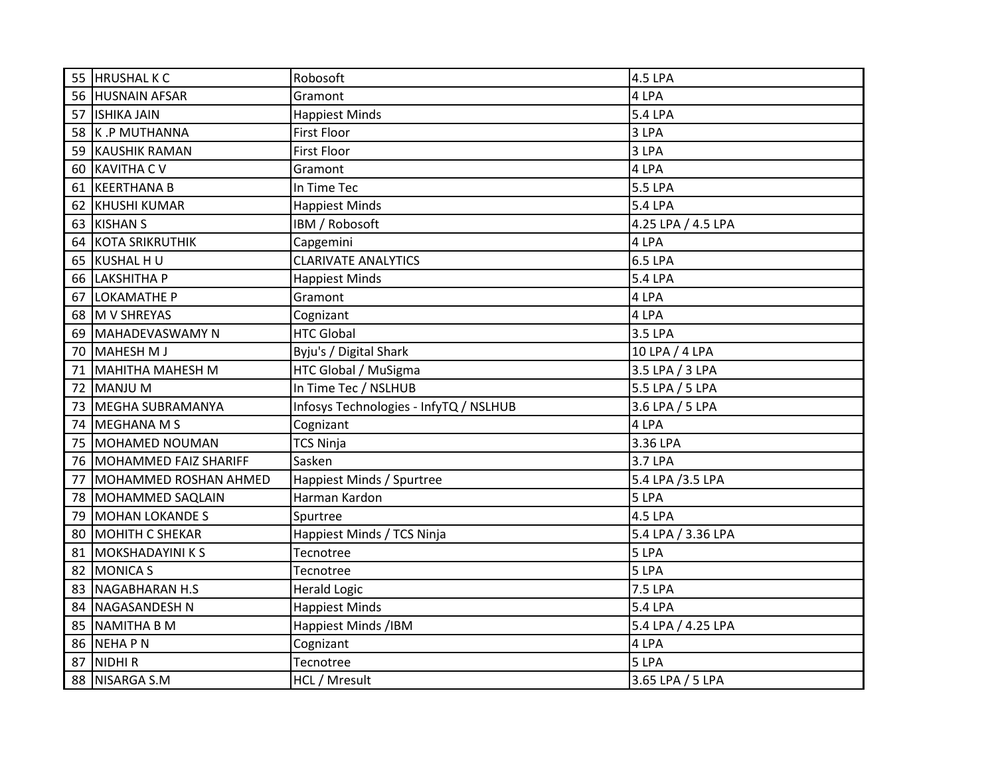| 55 | <b>HRUSHALKC</b>        | Robosoft                               | <b>4.5 LPA</b>     |
|----|-------------------------|----------------------------------------|--------------------|
|    | 56 HUSNAIN AFSAR        | Gramont                                | 4 LPA              |
|    | 57 ISHIKA JAIN          | <b>Happiest Minds</b>                  | <b>5.4 LPA</b>     |
|    | 58 K.P MUTHANNA         | <b>First Floor</b>                     | 3 LPA              |
| 59 | <b>KAUSHIK RAMAN</b>    | <b>First Floor</b>                     | 3 LPA              |
| 60 | <b>KAVITHA CV</b>       | Gramont                                | 4 LPA              |
| 61 | <b>KEERTHANA B</b>      | In Time Tec                            | 5.5 LPA            |
| 62 | <b>KHUSHI KUMAR</b>     | <b>Happiest Minds</b>                  | 5.4 LPA            |
|    | 63 KISHAN S             | IBM / Robosoft                         | 4.25 LPA / 4.5 LPA |
| 64 | <b>KOTA SRIKRUTHIK</b>  | Capgemini                              | 4 LPA              |
| 65 | KUSHAL HU               | <b>CLARIVATE ANALYTICS</b>             | <b>6.5 LPA</b>     |
| 66 | LAKSHITHA P             | <b>Happiest Minds</b>                  | 5.4 LPA            |
| 67 | <b>LOKAMATHE P</b>      | Gramont                                | 4 LPA              |
| 68 | M V SHREYAS             | Cognizant                              | 4 LPA              |
| 69 | MAHADEVASWAMY N         | <b>HTC Global</b>                      | 3.5 LPA            |
| 70 | <b>MAHESH MJ</b>        | Byju's / Digital Shark                 | 10 LPA / 4 LPA     |
| 71 | MAHITHA MAHESH M        | HTC Global / MuSigma                   | 3.5 LPA / 3 LPA    |
| 72 | <b>MANJU M</b>          | In Time Tec / NSLHUB                   | 5.5 LPA / 5 LPA    |
| 73 | MEGHA SUBRAMANYA        | Infosys Technologies - InfyTQ / NSLHUB | 3.6 LPA / 5 LPA    |
| 74 | MEGHANA M S             | Cognizant                              | 4 LPA              |
| 75 | MOHAMED NOUMAN          | <b>TCS Ninja</b>                       | 3.36 LPA           |
| 76 | MOHAMMED FAIZ SHARIFF   | Sasken                                 | 3.7 LPA            |
| 77 | MOHAMMED ROSHAN AHMED   | Happiest Minds / Spurtree              | 5.4 LPA /3.5 LPA   |
| 78 | MOHAMMED SAQLAIN        | Harman Kardon                          | 5 LPA              |
| 79 | <b>MOHAN LOKANDE S</b>  | Spurtree                               | 4.5 LPA            |
| 80 | <b>MOHITH C SHEKAR</b>  | Happiest Minds / TCS Ninja             | 5.4 LPA / 3.36 LPA |
| 81 | <b>MOKSHADAYINI K S</b> | Tecnotree                              | 5 LPA              |
| 82 | <b>MONICA S</b>         | Tecnotree                              | 5 LPA              |
| 83 | <b>NAGABHARAN H.S</b>   | <b>Herald Logic</b>                    | 7.5 LPA            |
| 84 | <b>NAGASANDESH N</b>    | <b>Happiest Minds</b>                  | 5.4 LPA            |
| 85 | <b>NAMITHA B M</b>      | Happiest Minds /IBM                    | 5.4 LPA / 4.25 LPA |
| 86 | <b>NEHAPN</b>           | Cognizant                              | 4 LPA              |
| 87 | <b>NIDHIR</b>           | Tecnotree                              | 5 LPA              |
| 88 | NISARGA S.M             | HCL / Mresult                          | 3.65 LPA / 5 LPA   |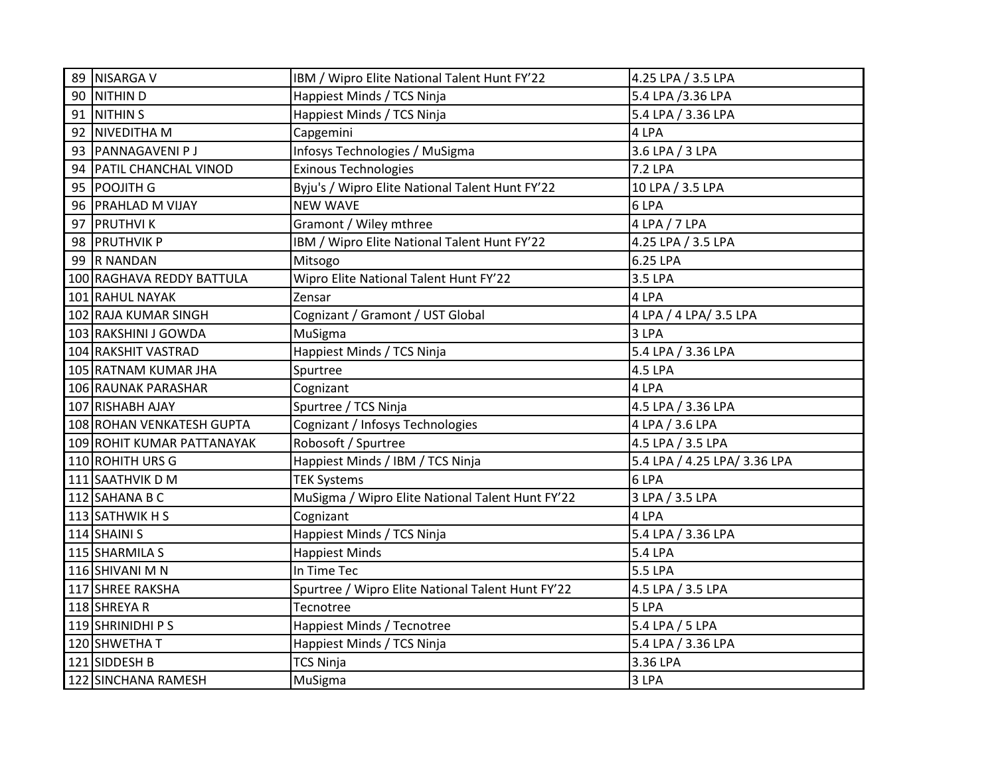| <b>NITHIND</b><br>90<br>Happiest Minds / TCS Ninja<br>5.4 LPA /3.36 LPA<br>91<br><b>NITHIN S</b><br>5.4 LPA / 3.36 LPA<br>Happiest Minds / TCS Ninja<br>92<br>NIVEDITHA M<br>4 LPA<br>Capgemini<br>3.6 LPA / 3 LPA<br><b>PANNAGAVENI PJ</b><br>Infosys Technologies / MuSigma<br>93<br>PATIL CHANCHAL VINOD<br>Exinous Technologies<br>7.2 LPA<br>94<br>Byju's / Wipro Elite National Talent Hunt FY'22<br>95<br><b>POOJITH G</b><br>10 LPA / 3.5 LPA<br><b>NEW WAVE</b><br>96<br><b>PRAHLAD M VIJAY</b><br>6 LPA<br>97<br><b>PRUTHVIK</b><br>Gramont / Wiley mthree<br>4 LPA / 7 LPA<br>98 PRUTHVIK P<br>IBM / Wipro Elite National Talent Hunt FY'22<br>4.25 LPA / 3.5 LPA<br>99 R NANDAN<br>6.25 LPA<br>Mitsogo<br>Wipro Elite National Talent Hunt FY'22<br>3.5 LPA<br>100 RAGHAVA REDDY BATTULA<br>4 LPA<br>101 RAHUL NAYAK<br>Zensar<br>Cognizant / Gramont / UST Global<br>102 RAJA KUMAR SINGH<br>4 LPA / 4 LPA / 3.5 LPA<br>103 RAKSHINI J GOWDA<br>MuSigma<br>3 LPA<br>104 RAKSHIT VASTRAD<br>Happiest Minds / TCS Ninja<br>5.4 LPA / 3.36 LPA<br>105 RATNAM KUMAR JHA<br>4.5 LPA<br>Spurtree<br>106 RAUNAK PARASHAR<br>4 LPA<br>Cognizant<br>107 RISHABH AJAY<br>Spurtree / TCS Ninja<br>4.5 LPA / 3.36 LPA<br>108 ROHAN VENKATESH GUPTA<br>Cognizant / Infosys Technologies<br>4 LPA / 3.6 LPA<br>Robosoft / Spurtree<br>4.5 LPA / 3.5 LPA<br>109 ROHIT KUMAR PATTANAYAK<br>110 ROHITH URS G<br>Happiest Minds / IBM / TCS Ninja<br>5.4 LPA / 4.25 LPA/ 3.36 LPA<br>111 SAATHVIK D M<br>6 LPA<br><b>TEK Systems</b><br>MuSigma / Wipro Elite National Talent Hunt FY'22<br>3 LPA / 3.5 LPA<br>112 SAHANA B C<br>4 LPA<br>113 SATHWIK H S<br>Cognizant<br>114 SHAINI S<br>Happiest Minds / TCS Ninja<br>5.4 LPA / 3.36 LPA<br>115 SHARMILA S<br><b>Happiest Minds</b><br><b>5.4 LPA</b><br>In Time Tec<br>116 SHIVANI M N<br>5.5 LPA<br>117 SHREE RAKSHA<br>Spurtree / Wipro Elite National Talent Hunt FY'22<br>4.5 LPA / 3.5 LPA<br>5 LPA<br>118 SHREYA R<br>Tecnotree<br>119 SHRINIDHI P S<br>Happiest Minds / Tecnotree<br>5.4 LPA / 5 LPA<br>120 SHWETHAT<br>Happiest Minds / TCS Ninja<br>5.4 LPA / 3.36 LPA<br>121 SIDDESH B<br>TCS Ninja<br>3.36 LPA<br>122 SINCHANA RAMESH<br>3 LPA<br>MuSigma | 89 NISARGA V | IBM / Wipro Elite National Talent Hunt FY'22 | 4.25 LPA / 3.5 LPA |
|--------------------------------------------------------------------------------------------------------------------------------------------------------------------------------------------------------------------------------------------------------------------------------------------------------------------------------------------------------------------------------------------------------------------------------------------------------------------------------------------------------------------------------------------------------------------------------------------------------------------------------------------------------------------------------------------------------------------------------------------------------------------------------------------------------------------------------------------------------------------------------------------------------------------------------------------------------------------------------------------------------------------------------------------------------------------------------------------------------------------------------------------------------------------------------------------------------------------------------------------------------------------------------------------------------------------------------------------------------------------------------------------------------------------------------------------------------------------------------------------------------------------------------------------------------------------------------------------------------------------------------------------------------------------------------------------------------------------------------------------------------------------------------------------------------------------------------------------------------------------------------------------------------------------------------------------------------------------------------------------------------------------------------------------------------------------------------------------------------------------------------------------------------------------------------------------------------------------|--------------|----------------------------------------------|--------------------|
|                                                                                                                                                                                                                                                                                                                                                                                                                                                                                                                                                                                                                                                                                                                                                                                                                                                                                                                                                                                                                                                                                                                                                                                                                                                                                                                                                                                                                                                                                                                                                                                                                                                                                                                                                                                                                                                                                                                                                                                                                                                                                                                                                                                                                    |              |                                              |                    |
|                                                                                                                                                                                                                                                                                                                                                                                                                                                                                                                                                                                                                                                                                                                                                                                                                                                                                                                                                                                                                                                                                                                                                                                                                                                                                                                                                                                                                                                                                                                                                                                                                                                                                                                                                                                                                                                                                                                                                                                                                                                                                                                                                                                                                    |              |                                              |                    |
|                                                                                                                                                                                                                                                                                                                                                                                                                                                                                                                                                                                                                                                                                                                                                                                                                                                                                                                                                                                                                                                                                                                                                                                                                                                                                                                                                                                                                                                                                                                                                                                                                                                                                                                                                                                                                                                                                                                                                                                                                                                                                                                                                                                                                    |              |                                              |                    |
|                                                                                                                                                                                                                                                                                                                                                                                                                                                                                                                                                                                                                                                                                                                                                                                                                                                                                                                                                                                                                                                                                                                                                                                                                                                                                                                                                                                                                                                                                                                                                                                                                                                                                                                                                                                                                                                                                                                                                                                                                                                                                                                                                                                                                    |              |                                              |                    |
|                                                                                                                                                                                                                                                                                                                                                                                                                                                                                                                                                                                                                                                                                                                                                                                                                                                                                                                                                                                                                                                                                                                                                                                                                                                                                                                                                                                                                                                                                                                                                                                                                                                                                                                                                                                                                                                                                                                                                                                                                                                                                                                                                                                                                    |              |                                              |                    |
|                                                                                                                                                                                                                                                                                                                                                                                                                                                                                                                                                                                                                                                                                                                                                                                                                                                                                                                                                                                                                                                                                                                                                                                                                                                                                                                                                                                                                                                                                                                                                                                                                                                                                                                                                                                                                                                                                                                                                                                                                                                                                                                                                                                                                    |              |                                              |                    |
|                                                                                                                                                                                                                                                                                                                                                                                                                                                                                                                                                                                                                                                                                                                                                                                                                                                                                                                                                                                                                                                                                                                                                                                                                                                                                                                                                                                                                                                                                                                                                                                                                                                                                                                                                                                                                                                                                                                                                                                                                                                                                                                                                                                                                    |              |                                              |                    |
|                                                                                                                                                                                                                                                                                                                                                                                                                                                                                                                                                                                                                                                                                                                                                                                                                                                                                                                                                                                                                                                                                                                                                                                                                                                                                                                                                                                                                                                                                                                                                                                                                                                                                                                                                                                                                                                                                                                                                                                                                                                                                                                                                                                                                    |              |                                              |                    |
|                                                                                                                                                                                                                                                                                                                                                                                                                                                                                                                                                                                                                                                                                                                                                                                                                                                                                                                                                                                                                                                                                                                                                                                                                                                                                                                                                                                                                                                                                                                                                                                                                                                                                                                                                                                                                                                                                                                                                                                                                                                                                                                                                                                                                    |              |                                              |                    |
|                                                                                                                                                                                                                                                                                                                                                                                                                                                                                                                                                                                                                                                                                                                                                                                                                                                                                                                                                                                                                                                                                                                                                                                                                                                                                                                                                                                                                                                                                                                                                                                                                                                                                                                                                                                                                                                                                                                                                                                                                                                                                                                                                                                                                    |              |                                              |                    |
|                                                                                                                                                                                                                                                                                                                                                                                                                                                                                                                                                                                                                                                                                                                                                                                                                                                                                                                                                                                                                                                                                                                                                                                                                                                                                                                                                                                                                                                                                                                                                                                                                                                                                                                                                                                                                                                                                                                                                                                                                                                                                                                                                                                                                    |              |                                              |                    |
|                                                                                                                                                                                                                                                                                                                                                                                                                                                                                                                                                                                                                                                                                                                                                                                                                                                                                                                                                                                                                                                                                                                                                                                                                                                                                                                                                                                                                                                                                                                                                                                                                                                                                                                                                                                                                                                                                                                                                                                                                                                                                                                                                                                                                    |              |                                              |                    |
|                                                                                                                                                                                                                                                                                                                                                                                                                                                                                                                                                                                                                                                                                                                                                                                                                                                                                                                                                                                                                                                                                                                                                                                                                                                                                                                                                                                                                                                                                                                                                                                                                                                                                                                                                                                                                                                                                                                                                                                                                                                                                                                                                                                                                    |              |                                              |                    |
|                                                                                                                                                                                                                                                                                                                                                                                                                                                                                                                                                                                                                                                                                                                                                                                                                                                                                                                                                                                                                                                                                                                                                                                                                                                                                                                                                                                                                                                                                                                                                                                                                                                                                                                                                                                                                                                                                                                                                                                                                                                                                                                                                                                                                    |              |                                              |                    |
|                                                                                                                                                                                                                                                                                                                                                                                                                                                                                                                                                                                                                                                                                                                                                                                                                                                                                                                                                                                                                                                                                                                                                                                                                                                                                                                                                                                                                                                                                                                                                                                                                                                                                                                                                                                                                                                                                                                                                                                                                                                                                                                                                                                                                    |              |                                              |                    |
|                                                                                                                                                                                                                                                                                                                                                                                                                                                                                                                                                                                                                                                                                                                                                                                                                                                                                                                                                                                                                                                                                                                                                                                                                                                                                                                                                                                                                                                                                                                                                                                                                                                                                                                                                                                                                                                                                                                                                                                                                                                                                                                                                                                                                    |              |                                              |                    |
|                                                                                                                                                                                                                                                                                                                                                                                                                                                                                                                                                                                                                                                                                                                                                                                                                                                                                                                                                                                                                                                                                                                                                                                                                                                                                                                                                                                                                                                                                                                                                                                                                                                                                                                                                                                                                                                                                                                                                                                                                                                                                                                                                                                                                    |              |                                              |                    |
|                                                                                                                                                                                                                                                                                                                                                                                                                                                                                                                                                                                                                                                                                                                                                                                                                                                                                                                                                                                                                                                                                                                                                                                                                                                                                                                                                                                                                                                                                                                                                                                                                                                                                                                                                                                                                                                                                                                                                                                                                                                                                                                                                                                                                    |              |                                              |                    |
|                                                                                                                                                                                                                                                                                                                                                                                                                                                                                                                                                                                                                                                                                                                                                                                                                                                                                                                                                                                                                                                                                                                                                                                                                                                                                                                                                                                                                                                                                                                                                                                                                                                                                                                                                                                                                                                                                                                                                                                                                                                                                                                                                                                                                    |              |                                              |                    |
|                                                                                                                                                                                                                                                                                                                                                                                                                                                                                                                                                                                                                                                                                                                                                                                                                                                                                                                                                                                                                                                                                                                                                                                                                                                                                                                                                                                                                                                                                                                                                                                                                                                                                                                                                                                                                                                                                                                                                                                                                                                                                                                                                                                                                    |              |                                              |                    |
|                                                                                                                                                                                                                                                                                                                                                                                                                                                                                                                                                                                                                                                                                                                                                                                                                                                                                                                                                                                                                                                                                                                                                                                                                                                                                                                                                                                                                                                                                                                                                                                                                                                                                                                                                                                                                                                                                                                                                                                                                                                                                                                                                                                                                    |              |                                              |                    |
|                                                                                                                                                                                                                                                                                                                                                                                                                                                                                                                                                                                                                                                                                                                                                                                                                                                                                                                                                                                                                                                                                                                                                                                                                                                                                                                                                                                                                                                                                                                                                                                                                                                                                                                                                                                                                                                                                                                                                                                                                                                                                                                                                                                                                    |              |                                              |                    |
|                                                                                                                                                                                                                                                                                                                                                                                                                                                                                                                                                                                                                                                                                                                                                                                                                                                                                                                                                                                                                                                                                                                                                                                                                                                                                                                                                                                                                                                                                                                                                                                                                                                                                                                                                                                                                                                                                                                                                                                                                                                                                                                                                                                                                    |              |                                              |                    |
|                                                                                                                                                                                                                                                                                                                                                                                                                                                                                                                                                                                                                                                                                                                                                                                                                                                                                                                                                                                                                                                                                                                                                                                                                                                                                                                                                                                                                                                                                                                                                                                                                                                                                                                                                                                                                                                                                                                                                                                                                                                                                                                                                                                                                    |              |                                              |                    |
|                                                                                                                                                                                                                                                                                                                                                                                                                                                                                                                                                                                                                                                                                                                                                                                                                                                                                                                                                                                                                                                                                                                                                                                                                                                                                                                                                                                                                                                                                                                                                                                                                                                                                                                                                                                                                                                                                                                                                                                                                                                                                                                                                                                                                    |              |                                              |                    |
|                                                                                                                                                                                                                                                                                                                                                                                                                                                                                                                                                                                                                                                                                                                                                                                                                                                                                                                                                                                                                                                                                                                                                                                                                                                                                                                                                                                                                                                                                                                                                                                                                                                                                                                                                                                                                                                                                                                                                                                                                                                                                                                                                                                                                    |              |                                              |                    |
|                                                                                                                                                                                                                                                                                                                                                                                                                                                                                                                                                                                                                                                                                                                                                                                                                                                                                                                                                                                                                                                                                                                                                                                                                                                                                                                                                                                                                                                                                                                                                                                                                                                                                                                                                                                                                                                                                                                                                                                                                                                                                                                                                                                                                    |              |                                              |                    |
|                                                                                                                                                                                                                                                                                                                                                                                                                                                                                                                                                                                                                                                                                                                                                                                                                                                                                                                                                                                                                                                                                                                                                                                                                                                                                                                                                                                                                                                                                                                                                                                                                                                                                                                                                                                                                                                                                                                                                                                                                                                                                                                                                                                                                    |              |                                              |                    |
|                                                                                                                                                                                                                                                                                                                                                                                                                                                                                                                                                                                                                                                                                                                                                                                                                                                                                                                                                                                                                                                                                                                                                                                                                                                                                                                                                                                                                                                                                                                                                                                                                                                                                                                                                                                                                                                                                                                                                                                                                                                                                                                                                                                                                    |              |                                              |                    |
|                                                                                                                                                                                                                                                                                                                                                                                                                                                                                                                                                                                                                                                                                                                                                                                                                                                                                                                                                                                                                                                                                                                                                                                                                                                                                                                                                                                                                                                                                                                                                                                                                                                                                                                                                                                                                                                                                                                                                                                                                                                                                                                                                                                                                    |              |                                              |                    |
|                                                                                                                                                                                                                                                                                                                                                                                                                                                                                                                                                                                                                                                                                                                                                                                                                                                                                                                                                                                                                                                                                                                                                                                                                                                                                                                                                                                                                                                                                                                                                                                                                                                                                                                                                                                                                                                                                                                                                                                                                                                                                                                                                                                                                    |              |                                              |                    |
|                                                                                                                                                                                                                                                                                                                                                                                                                                                                                                                                                                                                                                                                                                                                                                                                                                                                                                                                                                                                                                                                                                                                                                                                                                                                                                                                                                                                                                                                                                                                                                                                                                                                                                                                                                                                                                                                                                                                                                                                                                                                                                                                                                                                                    |              |                                              |                    |
|                                                                                                                                                                                                                                                                                                                                                                                                                                                                                                                                                                                                                                                                                                                                                                                                                                                                                                                                                                                                                                                                                                                                                                                                                                                                                                                                                                                                                                                                                                                                                                                                                                                                                                                                                                                                                                                                                                                                                                                                                                                                                                                                                                                                                    |              |                                              |                    |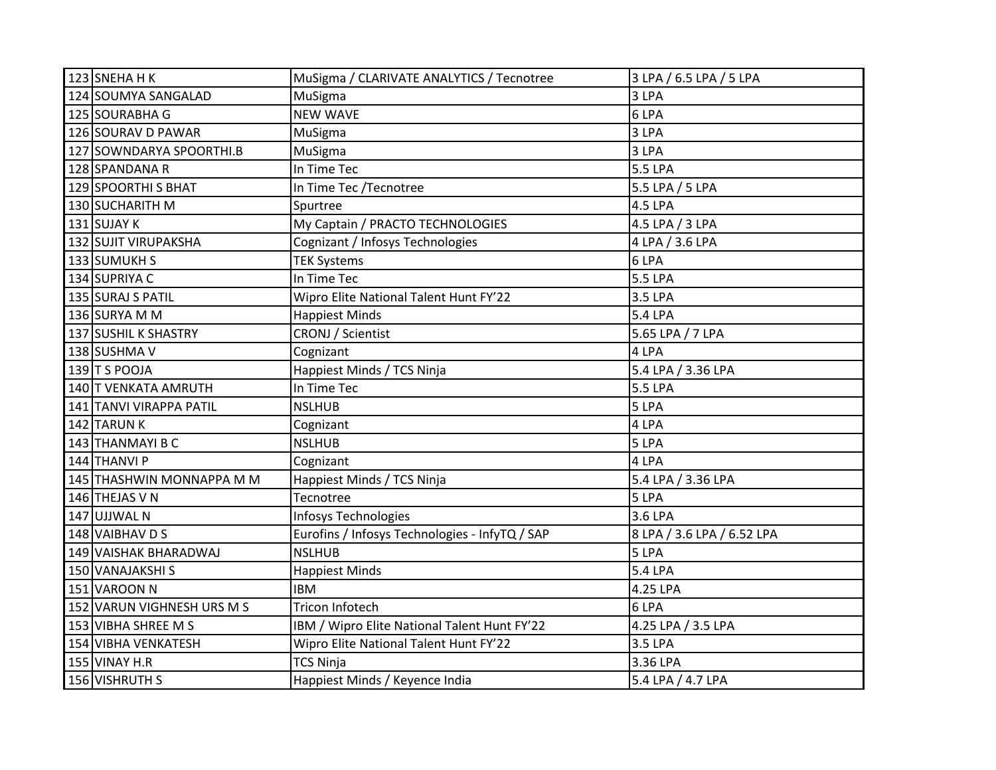| 123 SNEHA H K              | MuSigma / CLARIVATE ANALYTICS / Tecnotree      | 3 LPA / 6.5 LPA / 5 LPA    |
|----------------------------|------------------------------------------------|----------------------------|
| 124 SOUMYA SANGALAD        | MuSigma                                        | 3 LPA                      |
| 125 SOURABHA G             | <b>NEW WAVE</b>                                | 6 LPA                      |
| 126 SOURAV D PAWAR         | MuSigma                                        | 3 LPA                      |
| 127 SOWNDARYA SPOORTHI.B   | MuSigma                                        | 3 LPA                      |
| 128 SPANDANA R             | In Time Tec                                    | <b>5.5 LPA</b>             |
| 129 SPOORTHI S BHAT        | In Time Tec /Tecnotree                         | 5.5 LPA / 5 LPA            |
| 130 SUCHARITH M            | Spurtree                                       | 4.5 LPA                    |
| 131 SUJAY K                | My Captain / PRACTO TECHNOLOGIES               | 4.5 LPA / 3 LPA            |
| 132 SUJIT VIRUPAKSHA       | Cognizant / Infosys Technologies               | 4 LPA / 3.6 LPA            |
| 133 SUMUKH S               | <b>TEK Systems</b>                             | 6 LPA                      |
| 134 SUPRIYA C              | In Time Tec                                    | 5.5 LPA                    |
| 135 SURAJ S PATIL          | Wipro Elite National Talent Hunt FY'22         | 3.5 LPA                    |
| 136 SURYA M M              | <b>Happiest Minds</b>                          | 5.4 LPA                    |
| 137 SUSHIL K SHASTRY       | <b>CRONJ</b> / Scientist                       | 5.65 LPA / 7 LPA           |
| 138 SUSHMA V               | Cognizant                                      | 4 LPA                      |
| $139$ T S POOJA            | Happiest Minds / TCS Ninja                     | 5.4 LPA / 3.36 LPA         |
| 140 T VENKATA AMRUTH       | In Time Tec                                    | <b>5.5 LPA</b>             |
| 141 TANVI VIRAPPA PATIL    | <b>NSLHUB</b>                                  | 5 LPA                      |
| 142 TARUN K                | Cognizant                                      | 4 LPA                      |
| 143 THANMAYI B C           | <b>NSLHUB</b>                                  | 5 LPA                      |
| 144 THANVI P               | Cognizant                                      | 4 LPA                      |
| 145 THASHWIN MONNAPPA M M  | Happiest Minds / TCS Ninja                     | 5.4 LPA / 3.36 LPA         |
| 146 THEJAS V N             | Tecnotree                                      | 5 LPA                      |
| 147 UJJWAL N               | Infosys Technologies                           | 3.6 LPA                    |
| 148 VAIBHAV D S            | Eurofins / Infosys Technologies - InfyTQ / SAP | 8 LPA / 3.6 LPA / 6.52 LPA |
| 149 VAISHAK BHARADWAJ      | <b>NSLHUB</b>                                  | 5 LPA                      |
| 150 VANAJAKSHI S           | <b>Happiest Minds</b>                          | <b>5.4 LPA</b>             |
| 151 VAROON N               | <b>IBM</b>                                     | 4.25 LPA                   |
| 152 VARUN VIGHNESH URS M S | <b>Tricon Infotech</b>                         | 6 LPA                      |
| 153 VIBHA SHREE M S        | IBM / Wipro Elite National Talent Hunt FY'22   | 4.25 LPA / 3.5 LPA         |
| 154 VIBHA VENKATESH        | Wipro Elite National Talent Hunt FY'22         | 3.5 LPA                    |
| <b>155 VINAY H.R</b>       | <b>TCS Ninja</b>                               | 3.36 LPA                   |
| 156 VISHRUTH S             | Happiest Minds / Keyence India                 | 5.4 LPA / 4.7 LPA          |